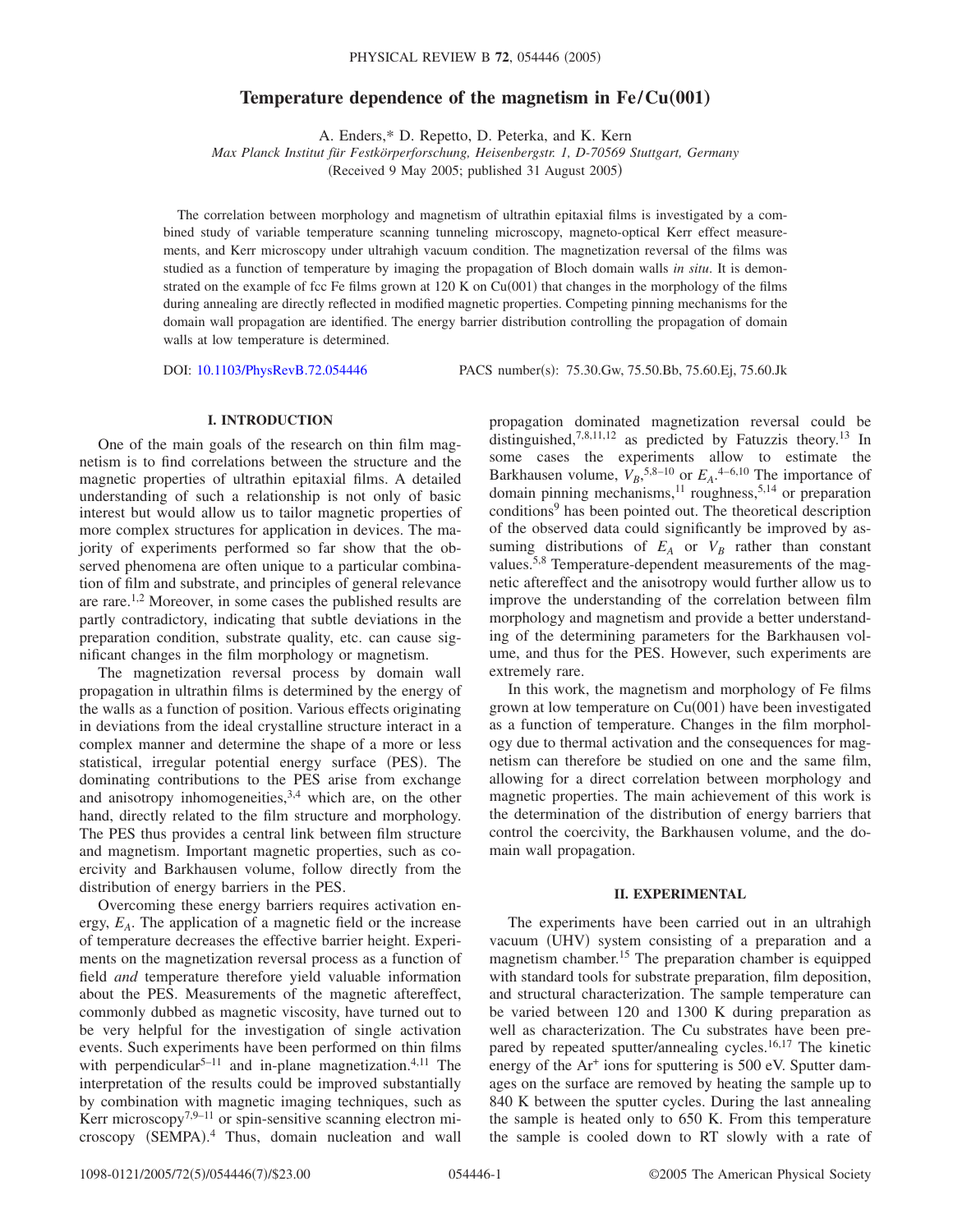# **Temperature dependence of the magnetism in Fe/Cu(001)**

A. Enders,\* D. Repetto, D. Peterka, and K. Kern

*Max Planck Institut für Festkörperforschung, Heisenbergstr. 1, D-70569 Stuttgart, Germany*

(Received 9 May 2005; published 31 August 2005)

The correlation between morphology and magnetism of ultrathin epitaxial films is investigated by a combined study of variable temperature scanning tunneling microscopy, magneto-optical Kerr effect measurements, and Kerr microscopy under ultrahigh vacuum condition. The magnetization reversal of the films was studied as a function of temperature by imaging the propagation of Bloch domain walls *in situ*. It is demonstrated on the example of fcc Fe films grown at  $120$  K on  $Cu(001)$  that changes in the morphology of the films during annealing are directly reflected in modified magnetic properties. Competing pinning mechanisms for the domain wall propagation are identified. The energy barrier distribution controlling the propagation of domain walls at low temperature is determined.

DOI: [10.1103/PhysRevB.72.054446](http://dx.doi.org/10.1103/PhysRevB.72.054446)

PACS number(s): 75.30.Gw, 75.50.Bb, 75.60.Ej, 75.60.Jk

## **I. INTRODUCTION**

One of the main goals of the research on thin film magnetism is to find correlations between the structure and the magnetic properties of ultrathin epitaxial films. A detailed understanding of such a relationship is not only of basic interest but would allow us to tailor magnetic properties of more complex structures for application in devices. The majority of experiments performed so far show that the observed phenomena are often unique to a particular combination of film and substrate, and principles of general relevance are rare.<sup>1,2</sup> Moreover, in some cases the published results are partly contradictory, indicating that subtle deviations in the preparation condition, substrate quality, etc. can cause significant changes in the film morphology or magnetism.

The magnetization reversal process by domain wall propagation in ultrathin films is determined by the energy of the walls as a function of position. Various effects originating in deviations from the ideal crystalline structure interact in a complex manner and determine the shape of a more or less statistical, irregular potential energy surface (PES). The dominating contributions to the PES arise from exchange and anisotropy inhomogeneities,  $3,4$  which are, on the other hand, directly related to the film structure and morphology. The PES thus provides a central link between film structure and magnetism. Important magnetic properties, such as coercivity and Barkhausen volume, follow directly from the distribution of energy barriers in the PES.

Overcoming these energy barriers requires activation energy, *EA*. The application of a magnetic field or the increase of temperature decreases the effective barrier height. Experiments on the magnetization reversal process as a function of field *and* temperature therefore yield valuable information about the PES. Measurements of the magnetic aftereffect, commonly dubbed as magnetic viscosity, have turned out to be very helpful for the investigation of single activation events. Such experiments have been performed on thin films with perpendicular<sup>5–11</sup> and in-plane magnetization.<sup>4,11</sup> The interpretation of the results could be improved substantially by combination with magnetic imaging techniques, such as Kerr microscopy<sup>7,9–11</sup> or spin-sensitive scanning electron microscopy (SEMPA).<sup>4</sup> Thus, domain nucleation and wall

propagation dominated magnetization reversal could be distinguished,<sup>7,8,11,12</sup> as predicted by Fatuzzis theory.<sup>13</sup> In some cases the experiments allow to estimate the Barkhausen volume,  $V_B$ ,<sup>5,8–10</sup> or  $E_A$ .<sup>4–6,10</sup> The importance of domain pinning mechanisms,<sup>11</sup> roughness,<sup>5,14</sup> or preparation conditions<sup>9</sup> has been pointed out. The theoretical description of the observed data could significantly be improved by assuming distributions of  $E_A$  or  $V_B$  rather than constant values.<sup>5,8</sup> Temperature-dependent measurements of the magnetic aftereffect and the anisotropy would further allow us to improve the understanding of the correlation between film morphology and magnetism and provide a better understanding of the determining parameters for the Barkhausen volume, and thus for the PES. However, such experiments are extremely rare.

In this work, the magnetism and morphology of Fe films grown at low temperature on Cu(001) have been investigated as a function of temperature. Changes in the film morphology due to thermal activation and the consequences for magnetism can therefore be studied on one and the same film, allowing for a direct correlation between morphology and magnetic properties. The main achievement of this work is the determination of the distribution of energy barriers that control the coercivity, the Barkhausen volume, and the domain wall propagation.

#### **II. EXPERIMENTAL**

The experiments have been carried out in an ultrahigh vacuum (UHV) system consisting of a preparation and a magnetism chamber.<sup>15</sup> The preparation chamber is equipped with standard tools for substrate preparation, film deposition, and structural characterization. The sample temperature can be varied between 120 and 1300 K during preparation as well as characterization. The Cu substrates have been prepared by repeated sputter/annealing cycles.<sup>16,17</sup> The kinetic energy of the  $Ar<sup>+</sup>$  ions for sputtering is 500 eV. Sputter damages on the surface are removed by heating the sample up to 840 K between the sputter cycles. During the last annealing the sample is heated only to 650 K. From this temperature the sample is cooled down to RT slowly with a rate of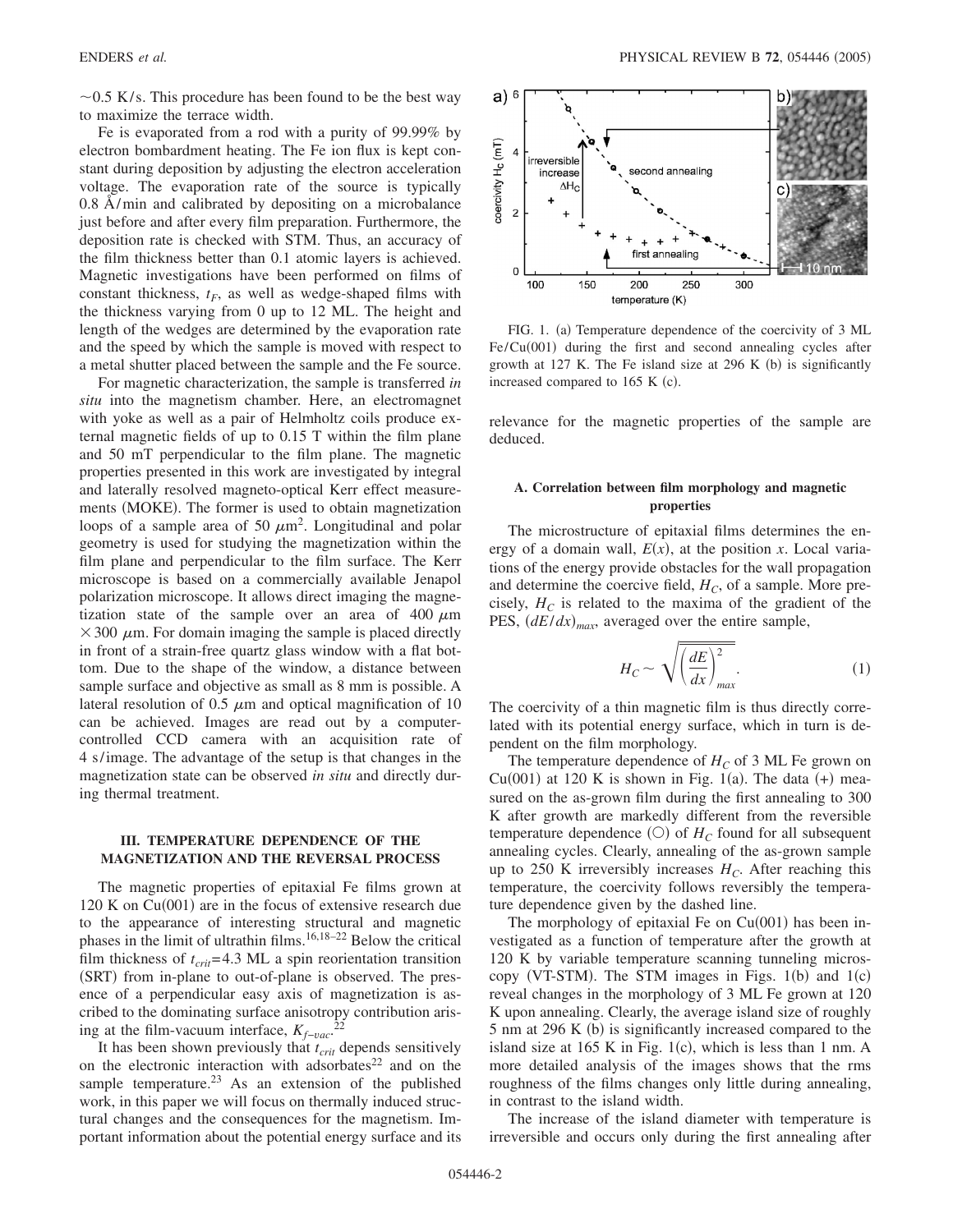$\sim$ 0.5 K/s. This procedure has been found to be the best way to maximize the terrace width.

Fe is evaporated from a rod with a purity of 99.99% by electron bombardment heating. The Fe ion flux is kept constant during deposition by adjusting the electron acceleration voltage. The evaporation rate of the source is typically 0.8 Å/min and calibrated by depositing on a microbalance just before and after every film preparation. Furthermore, the deposition rate is checked with STM. Thus, an accuracy of the film thickness better than 0.1 atomic layers is achieved. Magnetic investigations have been performed on films of constant thickness,  $t_F$ , as well as wedge-shaped films with the thickness varying from 0 up to 12 ML. The height and length of the wedges are determined by the evaporation rate and the speed by which the sample is moved with respect to a metal shutter placed between the sample and the Fe source.

For magnetic characterization, the sample is transferred *in situ* into the magnetism chamber. Here, an electromagnet with yoke as well as a pair of Helmholtz coils produce external magnetic fields of up to 0.15 T within the film plane and 50 mT perpendicular to the film plane. The magnetic properties presented in this work are investigated by integral and laterally resolved magneto-optical Kerr effect measurements (MOKE). The former is used to obtain magnetization loops of a sample area of 50  $\mu$ m<sup>2</sup>. Longitudinal and polar geometry is used for studying the magnetization within the film plane and perpendicular to the film surface. The Kerr microscope is based on a commercially available Jenapol polarization microscope. It allows direct imaging the magnetization state of the sample over an area of  $400 \mu m$  $\times$  300  $\mu$ m. For domain imaging the sample is placed directly in front of a strain-free quartz glass window with a flat bottom. Due to the shape of the window, a distance between sample surface and objective as small as 8 mm is possible. A lateral resolution of 0.5  $\mu$ m and optical magnification of 10 can be achieved. Images are read out by a computercontrolled CCD camera with an acquisition rate of 4 s/image. The advantage of the setup is that changes in the magnetization state can be observed *in situ* and directly during thermal treatment.

### **III. TEMPERATURE DEPENDENCE OF THE MAGNETIZATION AND THE REVERSAL PROCESS**

The magnetic properties of epitaxial Fe films grown at  $120$  K on Cu $(001)$  are in the focus of extensive research due to the appearance of interesting structural and magnetic phases in the limit of ultrathin films.16,18–22 Below the critical film thickness of  $t_{crit}$ =4.3 ML a spin reorientation transition (SRT) from in-plane to out-of-plane is observed. The presence of a perpendicular easy axis of magnetization is ascribed to the dominating surface anisotropy contribution arising at the film-vacuum interface,  $K_{f-vac}$ <sup>22</sup>

It has been shown previously that  $t_{crit}$  depends sensitively on the electronic interaction with adsorbates $22$  and on the sample temperature.<sup>23</sup> As an extension of the published work, in this paper we will focus on thermally induced structural changes and the consequences for the magnetism. Important information about the potential energy surface and its



FIG. 1. (a) Temperature dependence of the coercivity of 3 ML  $Fe/Cu(001)$  during the first and second annealing cycles after growth at 127 K. The Fe island size at 296 K  $(b)$  is significantly increased compared to 165 K (c).

relevance for the magnetic properties of the sample are deduced.

### **A. Correlation between film morphology and magnetic properties**

The microstructure of epitaxial films determines the energy of a domain wall,  $E(x)$ , at the position *x*. Local variations of the energy provide obstacles for the wall propagation and determine the coercive field,  $H_C$ , of a sample. More precisely,  $H_C$  is related to the maxima of the gradient of the PES,  $(dE/dx)_{max}$ , averaged over the entire sample,

$$
H_C \sim \sqrt{\left(\frac{dE}{dx}\right)_{max}^2}.\tag{1}
$$

The coercivity of a thin magnetic film is thus directly correlated with its potential energy surface, which in turn is dependent on the film morphology.

The temperature dependence of  $H_C$  of 3 ML Fe grown on Cu(001) at 120 K is shown in Fig. 1(a). The data  $(+)$  measured on the as-grown film during the first annealing to 300 K after growth are markedly different from the reversible temperature dependence  $(O)$  of  $H_C$  found for all subsequent annealing cycles. Clearly, annealing of the as-grown sample up to 250 K irreversibly increases  $H_C$ . After reaching this temperature, the coercivity follows reversibly the temperature dependence given by the dashed line.

The morphology of epitaxial Fe on  $Cu(001)$  has been investigated as a function of temperature after the growth at 120 K by variable temperature scanning tunneling microscopy (VT-STM). The STM images in Figs.  $1(b)$  and  $1(c)$ reveal changes in the morphology of 3 ML Fe grown at 120 K upon annealing. Clearly, the average island size of roughly 5 nm at 296 K (b) is significantly increased compared to the island size at  $165$  K in Fig.  $1(c)$ , which is less than 1 nm. A more detailed analysis of the images shows that the rms roughness of the films changes only little during annealing, in contrast to the island width.

The increase of the island diameter with temperature is irreversible and occurs only during the first annealing after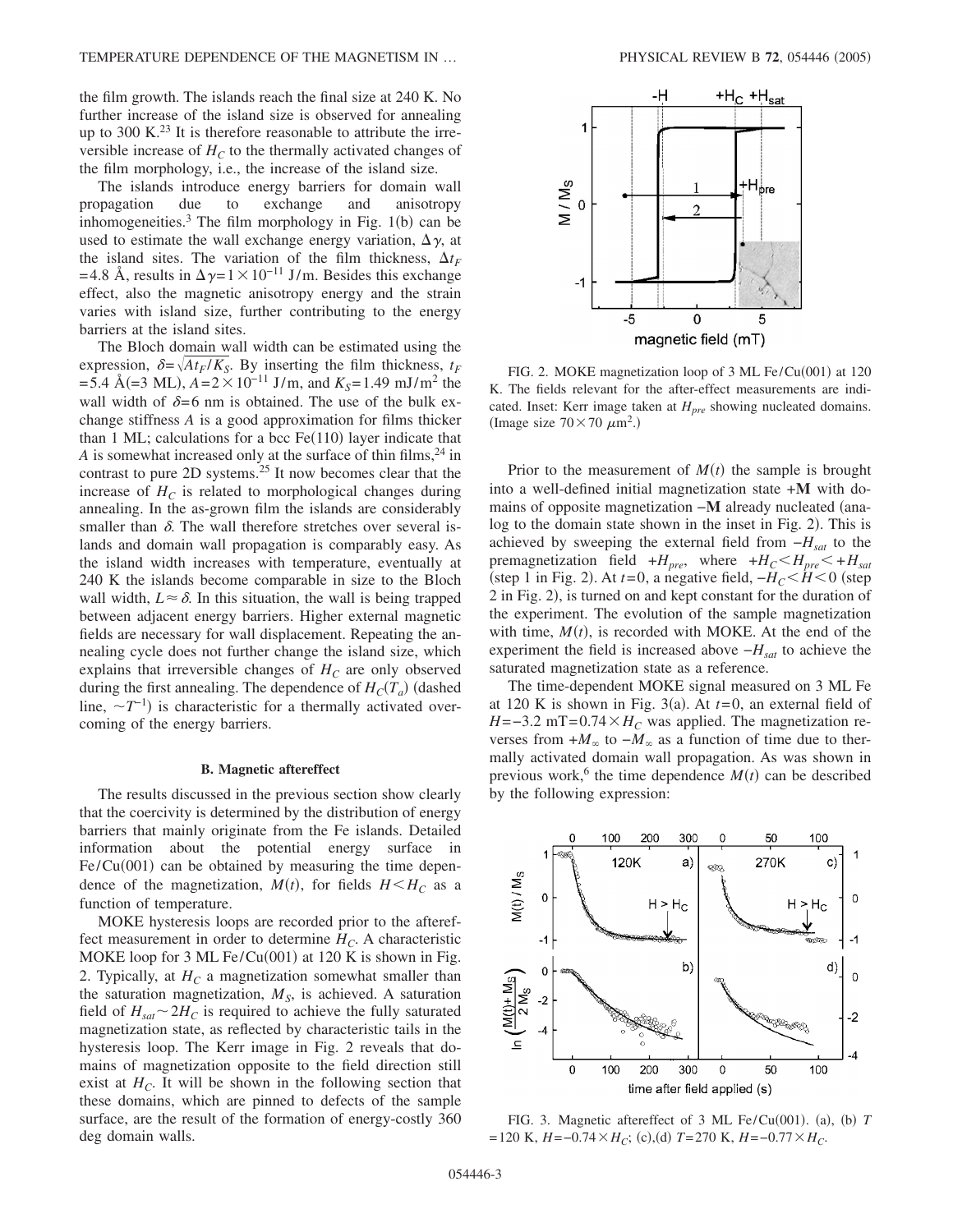the film growth. The islands reach the final size at 240 K. No further increase of the island size is observed for annealing up to 300 K. $^{23}$  It is therefore reasonable to attribute the irreversible increase of  $H_C$  to the thermally activated changes of the film morphology, i.e., the increase of the island size.

The islands introduce energy barriers for domain wall propagation due to exchange and anisotropy inhomogeneities.<sup>3</sup> The film morphology in Fig.  $1(b)$  can be used to estimate the wall exchange energy variation,  $\Delta \gamma$ , at the island sites. The variation of the film thickness,  $\Delta t_F$ =4.8 Å, results in  $\Delta \gamma = 1 \times 10^{-11}$  J/m. Besides this exchange effect, also the magnetic anisotropy energy and the strain varies with island size, further contributing to the energy barriers at the island sites.

The Bloch domain wall width can be estimated using the expression,  $\delta = \sqrt{At_F/K_S}$ . By inserting the film thickness,  $t_F$  $=$  5.4 Å(=3 ML),  $A = 2 \times 10^{-11}$  J/m, and  $K_S = 1.49$  mJ/m<sup>2</sup> the wall width of  $\delta = 6$  nm is obtained. The use of the bulk exchange stiffness *A* is a good approximation for films thicker than  $1$  ML; calculations for a bcc Fe $(110)$  layer indicate that *A* is somewhat increased only at the surface of thin films,  $24$  in contrast to pure 2D systems.<sup>25</sup> It now becomes clear that the increase of  $H_C$  is related to morphological changes during annealing. In the as-grown film the islands are considerably smaller than  $\delta$ . The wall therefore stretches over several islands and domain wall propagation is comparably easy. As the island width increases with temperature, eventually at 240 K the islands become comparable in size to the Bloch wall width,  $L \approx \delta$ . In this situation, the wall is being trapped between adjacent energy barriers. Higher external magnetic fields are necessary for wall displacement. Repeating the annealing cycle does not further change the island size, which explains that irreversible changes of  $H_C$  are only observed during the first annealing. The dependence of  $H_C(T_a)$  (dashed line,  $\sim T^{-1}$ ) is characteristic for a thermally activated overcoming of the energy barriers.

### **B. Magnetic aftereffect**

The results discussed in the previous section show clearly that the coercivity is determined by the distribution of energy barriers that mainly originate from the Fe islands. Detailed information about the potential energy surface in  $Fe/Cu(001)$  can be obtained by measuring the time dependence of the magnetization,  $M(t)$ , for fields  $H \leq H_c$  as a function of temperature.

MOKE hysteresis loops are recorded prior to the aftereffect measurement in order to determine  $H_C$ . A characteristic MOKE loop for  $3$  ML Fe/Cu(001) at 120 K is shown in Fig. 2. Typically, at  $H_C$  a magnetization somewhat smaller than the saturation magnetization,  $M<sub>S</sub>$ , is achieved. A saturation field of  $H_{sat} \sim 2H_C$  is required to achieve the fully saturated magnetization state, as reflected by characteristic tails in the hysteresis loop. The Kerr image in Fig. 2 reveals that domains of magnetization opposite to the field direction still exist at  $H_C$ . It will be shown in the following section that these domains, which are pinned to defects of the sample surface, are the result of the formation of energy-costly 360 deg domain walls.



FIG. 2. MOKE magnetization loop of 3 ML Fe/Cu(001) at 120 K. The fields relevant for the after-effect measurements are indicated. Inset: Kerr image taken at *H<sub>pre</sub>* showing nucleated domains. (Image size  $70 \times 70 \ \mu \text{m}^2$ .)

Prior to the measurement of  $M(t)$  the sample is brought into a well-defined initial magnetization state +**M** with domains of opposite magnetization −**M** already nucleated (analog to the domain state shown in the inset in Fig. 2). This is achieved by sweeping the external field from  $-H<sub>sat</sub>$  to the premagnetization field  $+H_{pre}$ , where  $+H_C \leq H_{pre} \leq +H_{sat}$ (step 1 in Fig. 2). At  $t=0$ , a negative field,  $-H_C < H < 0$  (step 2 in Fig. 2), is turned on and kept constant for the duration of the experiment. The evolution of the sample magnetization with time,  $M(t)$ , is recorded with MOKE. At the end of the experiment the field is increased above  $-H<sub>sat</sub>$  to achieve the saturated magnetization state as a reference.

The time-dependent MOKE signal measured on 3 ML Fe at 120 K is shown in Fig. 3(a). At  $t=0$ , an external field of  $H = -3.2$  mT=0.74 ×  $H_C$  was applied. The magnetization reverses from  $+M_{\infty}$  to  $-M_{\infty}$  as a function of time due to thermally activated domain wall propagation. As was shown in previous work,<sup>6</sup> the time dependence  $M(t)$  can be described by the following expression:



FIG. 3. Magnetic aftereffect of 3 ML Fe/Cu(001). (a), (b)  $T$  $=120 \text{ K}, H = -0.74 \times H_C$ ; (c),(d)  $T = 270 \text{ K}, H = -0.77 \times H_C$ .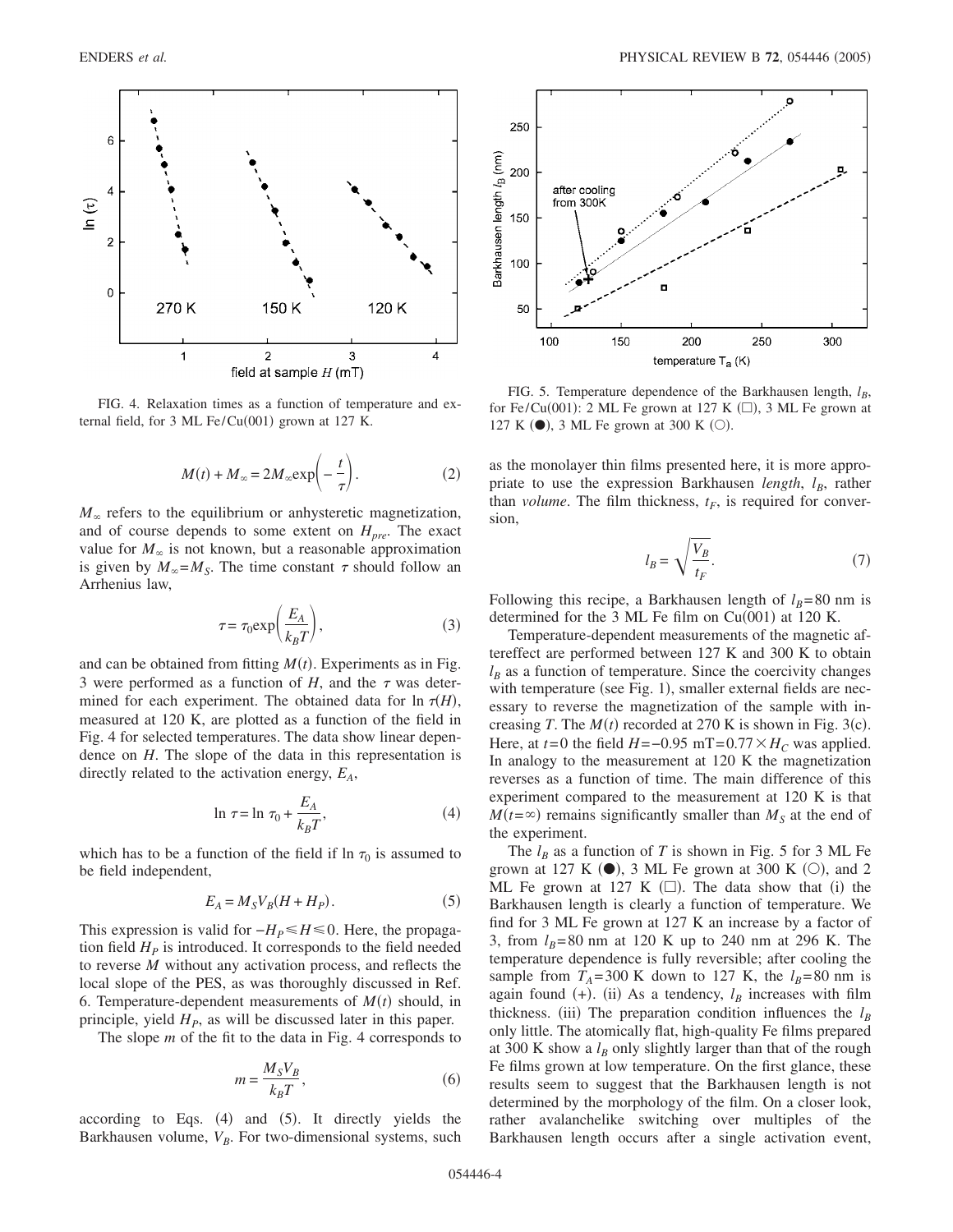

FIG. 4. Relaxation times as a function of temperature and external field, for  $3$  ML Fe/Cu(001) grown at 127 K.

$$
M(t) + M_{\infty} = 2M_{\infty} \exp\left(-\frac{t}{\tau}\right).
$$
 (2)

 $M_{\infty}$  refers to the equilibrium or anhysteretic magnetization, and of course depends to some extent on  $H_{pre}$ . The exact value for  $M_{\infty}$  is not known, but a reasonable approximation is given by  $M_{\infty} = M_S$ . The time constant  $\tau$  should follow an Arrhenius law,

$$
\tau = \tau_0 \exp\bigg(\frac{E_A}{k_B T}\bigg),\tag{3}
$$

and can be obtained from fitting  $M(t)$ . Experiments as in Fig. 3 were performed as a function of  $H$ , and the  $\tau$  was determined for each experiment. The obtained data for  $\ln \tau(H)$ , measured at 120 K, are plotted as a function of the field in Fig. 4 for selected temperatures. The data show linear dependence on *H*. The slope of the data in this representation is directly related to the activation energy,  $E_A$ ,

$$
\ln \tau = \ln \tau_0 + \frac{E_A}{k_B T},\tag{4}
$$

which has to be a function of the field if  $\ln \tau_0$  is assumed to be field independent,

$$
E_A = M_S V_B (H + H_P). \tag{5}
$$

This expression is valid for  $-H_P \leq H \leq 0$ . Here, the propagation field  $H<sub>p</sub>$  is introduced. It corresponds to the field needed to reverse *M* without any activation process, and reflects the local slope of the PES, as was thoroughly discussed in Ref. 6. Temperature-dependent measurements of  $M(t)$  should, in principle, yield  $H<sub>P</sub>$ , as will be discussed later in this paper.

The slope *m* of the fit to the data in Fig. 4 corresponds to

$$
m = \frac{M_S V_B}{k_B T},\tag{6}
$$

according to Eqs.  $(4)$  and  $(5)$ . It directly yields the Barkhausen volume,  $V_B$ . For two-dimensional systems, such



FIG. 5. Temperature dependence of the Barkhausen length,  $l_B$ , for Fe/Cu(001): 2 ML Fe grown at 127 K  $(\square)$ , 3 ML Fe grown at 127 K  $\left(\bullet\right)$ , 3 ML Fe grown at 300 K  $\left(\circ\right)$ .

as the monolayer thin films presented here, it is more appropriate to use the expression Barkhausen *length*, *l<sub>B</sub>*, rather than *volume*. The film thickness,  $t_F$ , is required for conversion,

$$
l_B = \sqrt{\frac{V_B}{t_F}}.\t(7)
$$

Following this recipe, a Barkhausen length of  $l_B=80$  nm is determined for the 3 ML Fe film on  $Cu(001)$  at 120 K.

Temperature-dependent measurements of the magnetic aftereffect are performed between 127 K and 300 K to obtain  $l_B$  as a function of temperature. Since the coercivity changes with temperature (see Fig. 1), smaller external fields are necessary to reverse the magnetization of the sample with increasing *T*. The  $M(t)$  recorded at 270 K is shown in Fig. 3(c). Here, at  $t=0$  the field  $H=-0.95$  mT= $0.77 \times H_C$  was applied. In analogy to the measurement at 120 K the magnetization reverses as a function of time. The main difference of this experiment compared to the measurement at 120 K is that  $M(t=\infty)$  remains significantly smaller than  $M<sub>S</sub>$  at the end of the experiment.

The  $l_B$  as a function of *T* is shown in Fig. 5 for 3 ML Fe grown at 127 K  $\left(\bullet\right)$ , 3 ML Fe grown at 300 K  $\left(\circ\right)$ , and 2 ML Fe grown at 127 K  $(\square)$ . The data show that (i) the Barkhausen length is clearly a function of temperature. We find for 3 ML Fe grown at 127 K an increase by a factor of 3, from  $l_B$ =80 nm at 120 K up to 240 nm at 296 K. The temperature dependence is fully reversible; after cooling the sample from  $T_A$ =300 K down to 127 K, the  $l_B$ =80 nm is again found  $(+)$ . (ii) As a tendency,  $l_B$  increases with film thickness. (iii) The preparation condition influences the  $l_B$ only little. The atomically flat, high-quality Fe films prepared at 300 K show a  $l_B$  only slightly larger than that of the rough Fe films grown at low temperature. On the first glance, these results seem to suggest that the Barkhausen length is not determined by the morphology of the film. On a closer look, rather avalanchelike switching over multiples of the Barkhausen length occurs after a single activation event,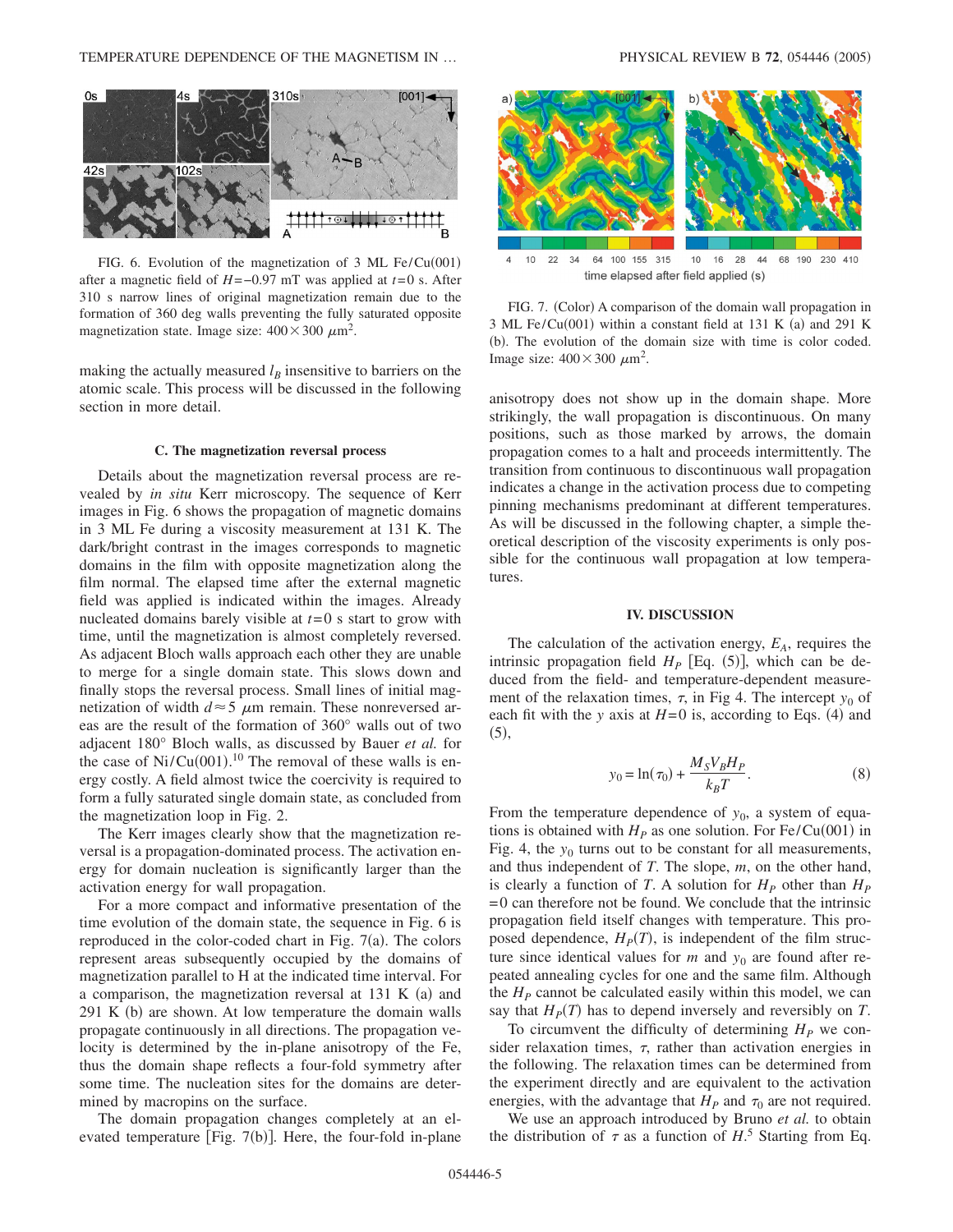

FIG. 6. Evolution of the magnetization of  $3$  ML Fe/Cu(001) after a magnetic field of *H*=−0.97 mT was applied at *t*=0 s. After 310 s narrow lines of original magnetization remain due to the formation of 360 deg walls preventing the fully saturated opposite magnetization state. Image size:  $400 \times 300 \ \mu \text{m}^2$ .

making the actually measured  $l_B$  insensitive to barriers on the atomic scale. This process will be discussed in the following section in more detail.

### **C. The magnetization reversal process**

Details about the magnetization reversal process are revealed by *in situ* Kerr microscopy. The sequence of Kerr images in Fig. 6 shows the propagation of magnetic domains in 3 ML Fe during a viscosity measurement at 131 K. The dark/bright contrast in the images corresponds to magnetic domains in the film with opposite magnetization along the film normal. The elapsed time after the external magnetic field was applied is indicated within the images. Already nucleated domains barely visible at *t*=0 s start to grow with time, until the magnetization is almost completely reversed. As adjacent Bloch walls approach each other they are unable to merge for a single domain state. This slows down and finally stops the reversal process. Small lines of initial magnetization of width  $d \approx 5$   $\mu$ m remain. These nonreversed areas are the result of the formation of 360° walls out of two adjacent 180° Bloch walls, as discussed by Bauer *et al.* for the case of  $Ni/Cu(001)$ .<sup>10</sup> The removal of these walls is energy costly. A field almost twice the coercivity is required to form a fully saturated single domain state, as concluded from the magnetization loop in Fig. 2.

The Kerr images clearly show that the magnetization reversal is a propagation-dominated process. The activation energy for domain nucleation is significantly larger than the activation energy for wall propagation.

For a more compact and informative presentation of the time evolution of the domain state, the sequence in Fig. 6 is reproduced in the color-coded chart in Fig.  $7(a)$ . The colors represent areas subsequently occupied by the domains of magnetization parallel to H at the indicated time interval. For a comparison, the magnetization reversal at  $131 \text{ K}$  (a) and  $291$  K (b) are shown. At low temperature the domain walls propagate continuously in all directions. The propagation velocity is determined by the in-plane anisotropy of the Fe, thus the domain shape reflects a four-fold symmetry after some time. The nucleation sites for the domains are determined by macropins on the surface.

The domain propagation changes completely at an elevated temperature [Fig. 7(b)]. Here, the four-fold in-plane



time elapsed after field applied (s)

FIG. 7. (Color) A comparison of the domain wall propagation in  $3 \text{ ML Fe/Cu}(001)$  within a constant field at 131 K (a) and 291 K (b). The evolution of the domain size with time is color coded. Image size:  $400 \times 300 \ \mu \text{m}^2$ .

anisotropy does not show up in the domain shape. More strikingly, the wall propagation is discontinuous. On many positions, such as those marked by arrows, the domain propagation comes to a halt and proceeds intermittently. The transition from continuous to discontinuous wall propagation indicates a change in the activation process due to competing pinning mechanisms predominant at different temperatures. As will be discussed in the following chapter, a simple theoretical description of the viscosity experiments is only possible for the continuous wall propagation at low temperatures.

### **IV. DISCUSSION**

The calculation of the activation energy,  $E_A$ , requires the intrinsic propagation field  $H_P$  [Eq.  $(5)$ ], which can be deduced from the field- and temperature-dependent measurement of the relaxation times,  $\tau$ , in Fig 4. The intercept  $y_0$  of each fit with the *y* axis at  $H=0$  is, according to Eqs. (4) and  $(5),$ 

$$
y_0 = \ln(\tau_0) + \frac{M_S V_B H_P}{k_B T}.
$$
 (8)

From the temperature dependence of  $y_0$ , a system of equations is obtained with  $H<sub>P</sub>$  as one solution. For Fe/Cu(001) in Fig. 4, the  $y_0$  turns out to be constant for all measurements, and thus independent of *T*. The slope, *m*, on the other hand, is clearly a function of *T*. A solution for  $H<sub>P</sub>$  other than  $H<sub>P</sub>$  $=0$  can therefore not be found. We conclude that the intrinsic propagation field itself changes with temperature. This proposed dependence,  $H<sub>P</sub>(T)$ , is independent of the film structure since identical values for  $m$  and  $y_0$  are found after repeated annealing cycles for one and the same film. Although the  $H_P$  cannot be calculated easily within this model, we can say that  $H<sub>P</sub>(T)$  has to depend inversely and reversibly on *T*.

To circumvent the difficulty of determining  $H<sub>P</sub>$  we consider relaxation times,  $\tau$ , rather than activation energies in the following. The relaxation times can be determined from the experiment directly and are equivalent to the activation energies, with the advantage that  $H_P$  and  $\tau_0$  are not required.

We use an approach introduced by Bruno *et al.* to obtain the distribution of  $\tau$  as a function of  $H$ <sup>5</sup>. Starting from Eq.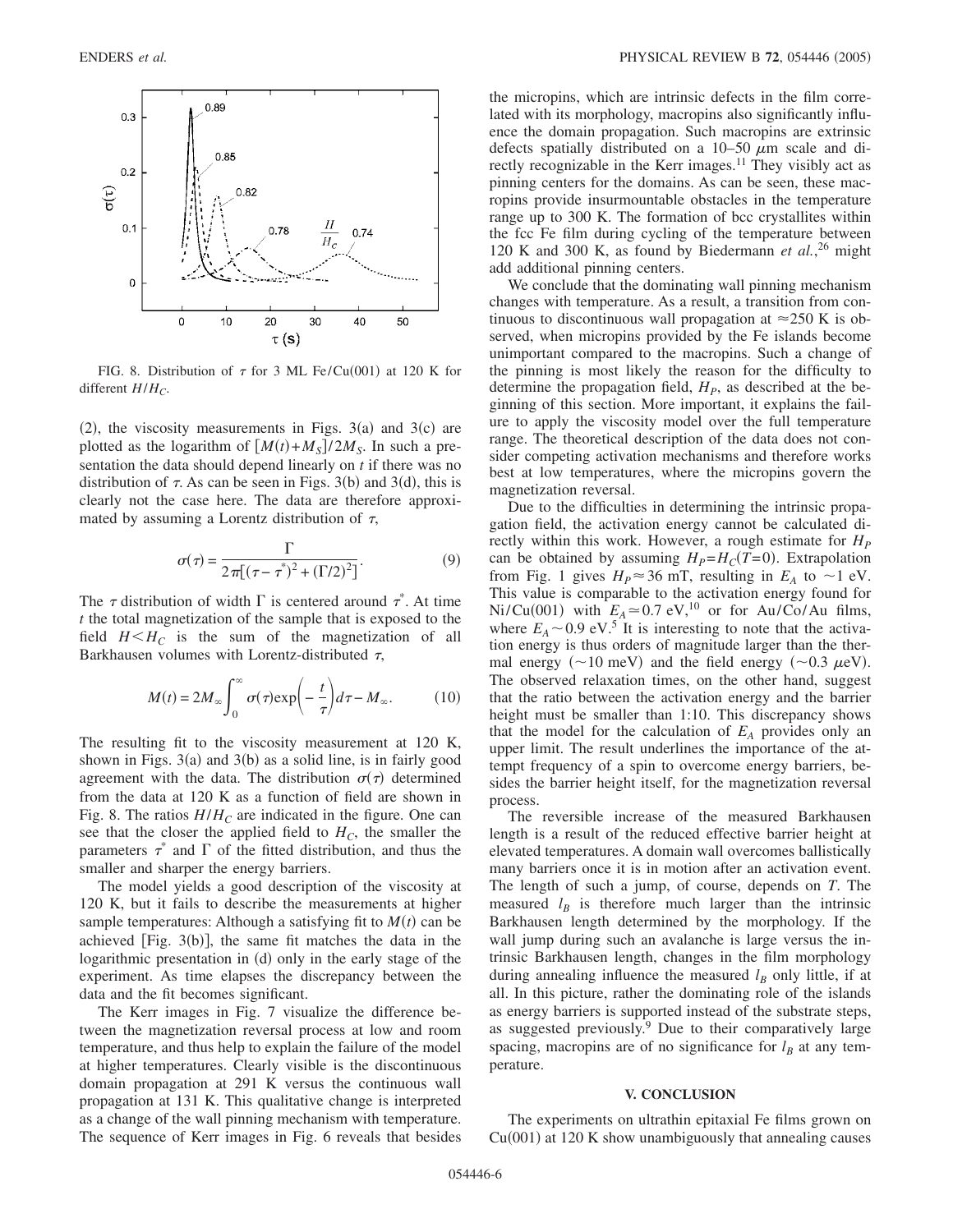

FIG. 8. Distribution of  $\tau$  for 3 ML Fe/Cu(001) at 120 K for different  $H/H_C$ .

 $(2)$ , the viscosity measurements in Figs. 3(a) and 3(c) are plotted as the logarithm of  $[M(t) + M_S]/2M_S$ . In such a presentation the data should depend linearly on *t* if there was no distribution of  $\tau$ . As can be seen in Figs. 3(b) and 3(d), this is clearly not the case here. The data are therefore approximated by assuming a Lorentz distribution of  $\tau$ ,

$$
\sigma(\tau) = \frac{\Gamma}{2\pi[(\tau - \tau^*)^2 + (\Gamma/2)^2]}.
$$
\n(9)

The  $\tau$  distribution of width  $\Gamma$  is centered around  $\tau^*$ . At time *t* the total magnetization of the sample that is exposed to the field  $H \leq H_C$  is the sum of the magnetization of all Barkhausen volumes with Lorentz-distributed  $\tau$ ,

$$
M(t) = 2M_{\infty} \int_0^{\infty} \sigma(\tau) \exp\left(-\frac{t}{\tau}\right) d\tau - M_{\infty}.
$$
 (10)

The resulting fit to the viscosity measurement at 120 K, shown in Figs. 3(a) and 3(b) as a solid line, is in fairly good agreement with the data. The distribution  $\sigma(\tau)$  determined from the data at 120 K as a function of field are shown in Fig. 8. The ratios  $H/H_C$  are indicated in the figure. One can see that the closer the applied field to  $H_C$ , the smaller the parameters  $\tau^*$  and  $\Gamma$  of the fitted distribution, and thus the smaller and sharper the energy barriers.

The model yields a good description of the viscosity at 120 K, but it fails to describe the measurements at higher sample temperatures: Although a satisfying fit to  $M(t)$  can be achieved [Fig.  $3(b)$ ], the same fit matches the data in the logarithmic presentation in (d) only in the early stage of the experiment. As time elapses the discrepancy between the data and the fit becomes significant.

The Kerr images in Fig. 7 visualize the difference between the magnetization reversal process at low and room temperature, and thus help to explain the failure of the model at higher temperatures. Clearly visible is the discontinuous domain propagation at 291 K versus the continuous wall propagation at 131 K. This qualitative change is interpreted as a change of the wall pinning mechanism with temperature. The sequence of Kerr images in Fig. 6 reveals that besides the micropins, which are intrinsic defects in the film correlated with its morphology, macropins also significantly influence the domain propagation. Such macropins are extrinsic defects spatially distributed on a  $10-50 \mu m$  scale and directly recognizable in the Kerr images.<sup>11</sup> They visibly act as pinning centers for the domains. As can be seen, these macropins provide insurmountable obstacles in the temperature range up to 300 K. The formation of bcc crystallites within the fcc Fe film during cycling of the temperature between 120 K and 300 K, as found by Biedermann *et al.*, <sup>26</sup> might add additional pinning centers.

We conclude that the dominating wall pinning mechanism changes with temperature. As a result, a transition from continuous to discontinuous wall propagation at  $\approx$ 250 K is observed, when micropins provided by the Fe islands become unimportant compared to the macropins. Such a change of the pinning is most likely the reason for the difficulty to determine the propagation field,  $H<sub>P</sub>$ , as described at the beginning of this section. More important, it explains the failure to apply the viscosity model over the full temperature range. The theoretical description of the data does not consider competing activation mechanisms and therefore works best at low temperatures, where the micropins govern the magnetization reversal.

Due to the difficulties in determining the intrinsic propagation field, the activation energy cannot be calculated directly within this work. However, a rough estimate for  $H<sub>p</sub>$ can be obtained by assuming  $H_P = H_C(T=0)$ . Extrapolation from Fig. 1 gives  $H_P \approx 36$  mT, resulting in  $E_A$  to  $\sim$ 1 eV. This value is comparable to the activation energy found for  $Ni/Cu(001)$  with  $E_A \approx 0.7 \text{ eV}$ ,<sup>10</sup> or for Au/Co/Au films, where  $E_A \sim 0.9 \text{ eV}^5$ . It is interesting to note that the activation energy is thus orders of magnitude larger than the thermal energy ( $\sim$ 10 meV) and the field energy ( $\sim$ 0.3  $\mu$ eV). The observed relaxation times, on the other hand, suggest that the ratio between the activation energy and the barrier height must be smaller than 1:10. This discrepancy shows that the model for the calculation of  $E_A$  provides only an upper limit. The result underlines the importance of the attempt frequency of a spin to overcome energy barriers, besides the barrier height itself, for the magnetization reversal process.

The reversible increase of the measured Barkhausen length is a result of the reduced effective barrier height at elevated temperatures. A domain wall overcomes ballistically many barriers once it is in motion after an activation event. The length of such a jump, of course, depends on *T*. The measured  $l_B$  is therefore much larger than the intrinsic Barkhausen length determined by the morphology. If the wall jump during such an avalanche is large versus the intrinsic Barkhausen length, changes in the film morphology during annealing influence the measured  $l_B$  only little, if at all. In this picture, rather the dominating role of the islands as energy barriers is supported instead of the substrate steps, as suggested previously.<sup>9</sup> Due to their comparatively large spacing, macropins are of no significance for  $l_B$  at any temperature.

### **V. CONCLUSION**

The experiments on ultrathin epitaxial Fe films grown on  $Cu(001)$  at 120 K show unambiguously that annealing causes